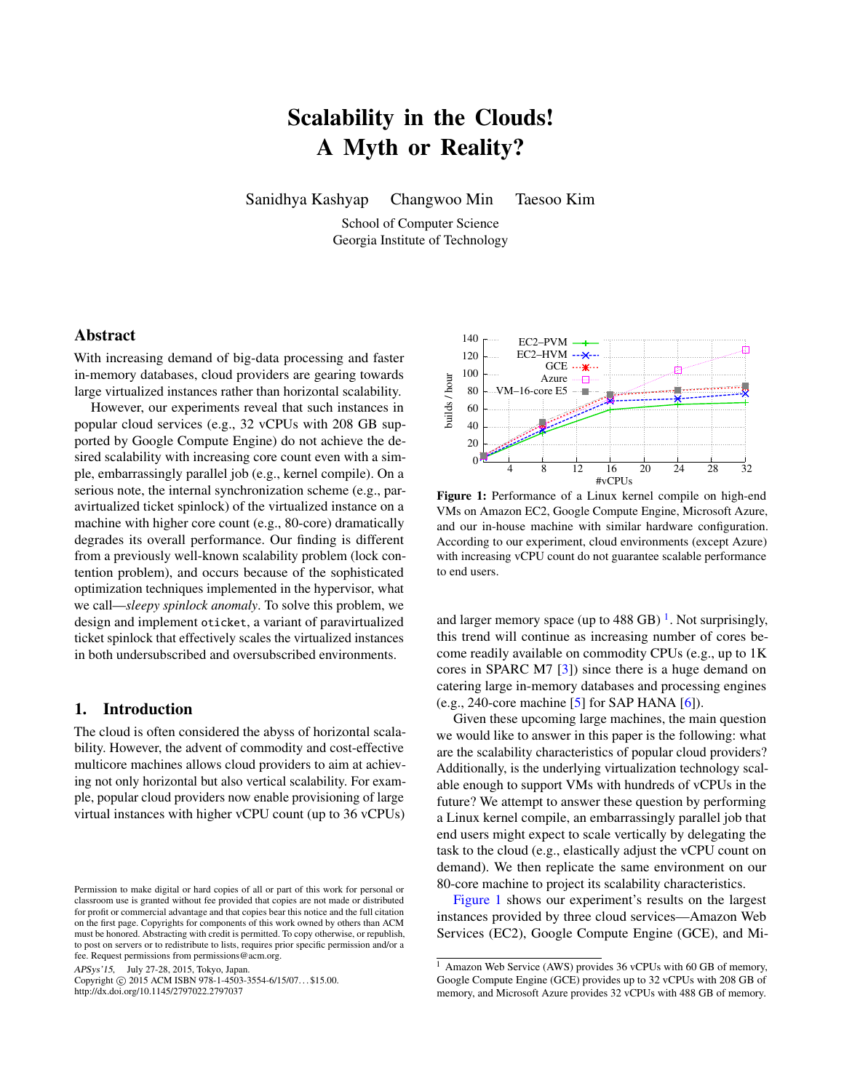# Scalability in the Clouds! A Myth or Reality?

Sanidhya Kashyap Changwoo Min Taesoo Kim

School of Computer Science Georgia Institute of Technology

# Abstract

With increasing demand of big-data processing and faster in-memory databases, cloud providers are gearing towards large virtualized instances rather than horizontal scalability.

However, our experiments reveal that such instances in popular cloud services (e.g., 32 vCPUs with 208 GB supported by Google Compute Engine) do not achieve the desired scalability with increasing core count even with a simple, embarrassingly parallel job (e.g., kernel compile). On a serious note, the internal synchronization scheme (e.g., paravirtualized ticket spinlock) of the virtualized instance on a machine with higher core count (e.g., 80-core) dramatically degrades its overall performance. Our finding is different from a previously well-known scalability problem (lock contention problem), and occurs because of the sophisticated optimization techniques implemented in the hypervisor, what we call—*sleepy spinlock anomaly*. To solve this problem, we design and implement oticket, a variant of paravirtualized ticket spinlock that effectively scales the virtualized instances in both undersubscribed and oversubscribed environments.

# 1. Introduction

The cloud is often considered the abyss of horizontal scalability. However, the advent of commodity and cost-effective multicore machines allows cloud providers to aim at achieving not only horizontal but also vertical scalability. For example, popular cloud providers now enable provisioning of large virtual instances with higher vCPU count (up to 36 vCPUs)

APSys'15, July 27-28, 2015, Tokyo, Japan.

Copyright © 2015 ACM ISBN 978-1-4503-3554-6/15/07... \$15.00. http://dx.doi.org/10.1145/2797022.2797037

<span id="page-0-1"></span>

Figure 1: Performance of a Linux kernel compile on high-end VMs on Amazon EC2, Google Compute Engine, Microsoft Azure, and our in-house machine with similar hardware configuration. According to our experiment, cloud environments (except Azure) with increasing vCPU count do not guarantee scalable performance to end users.

and larger memory space (up to  $488$  GB)<sup>[1](#page-0-0)</sup>. Not surprisingly, this trend will continue as increasing number of cores become readily available on commodity CPUs (e.g., up to 1K cores in SPARC M7 [\[3\]](#page-6-0)) since there is a huge demand on catering large in-memory databases and processing engines (e.g., 240-core machine  $[5]$  for SAP HANA  $[6]$ ).

Given these upcoming large machines, the main question we would like to answer in this paper is the following: what are the scalability characteristics of popular cloud providers? Additionally, is the underlying virtualization technology scalable enough to support VMs with hundreds of vCPUs in the future? We attempt to answer these question by performing a Linux kernel compile, an embarrassingly parallel job that end users might expect to scale vertically by delegating the task to the cloud (e.g., elastically adjust the vCPU count on demand). We then replicate the same environment on our 80-core machine to project its scalability characteristics.

[Figure 1](#page-0-1) shows our experiment's results on the largest instances provided by three cloud services—Amazon Web Services (EC2), Google Compute Engine (GCE), and Mi-

Permission to make digital or hard copies of all or part of this work for personal or classroom use is granted without fee provided that copies are not made or distributed for profit or commercial advantage and that copies bear this notice and the full citation on the first page. Copyrights for components of this work owned by others than ACM must be honored. Abstracting with credit is permitted. To copy otherwise, or republish, to post on servers or to redistribute to lists, requires prior specific permission and/or a fee. Request permissions from permissions@acm.org.

<span id="page-0-0"></span><sup>&</sup>lt;sup>1</sup> Amazon Web Service (AWS) provides 36 vCPUs with 60 GB of memory, Google Compute Engine (GCE) provides up to 32 vCPUs with 208 GB of memory, and Microsoft Azure provides 32 vCPUs with 488 GB of memory.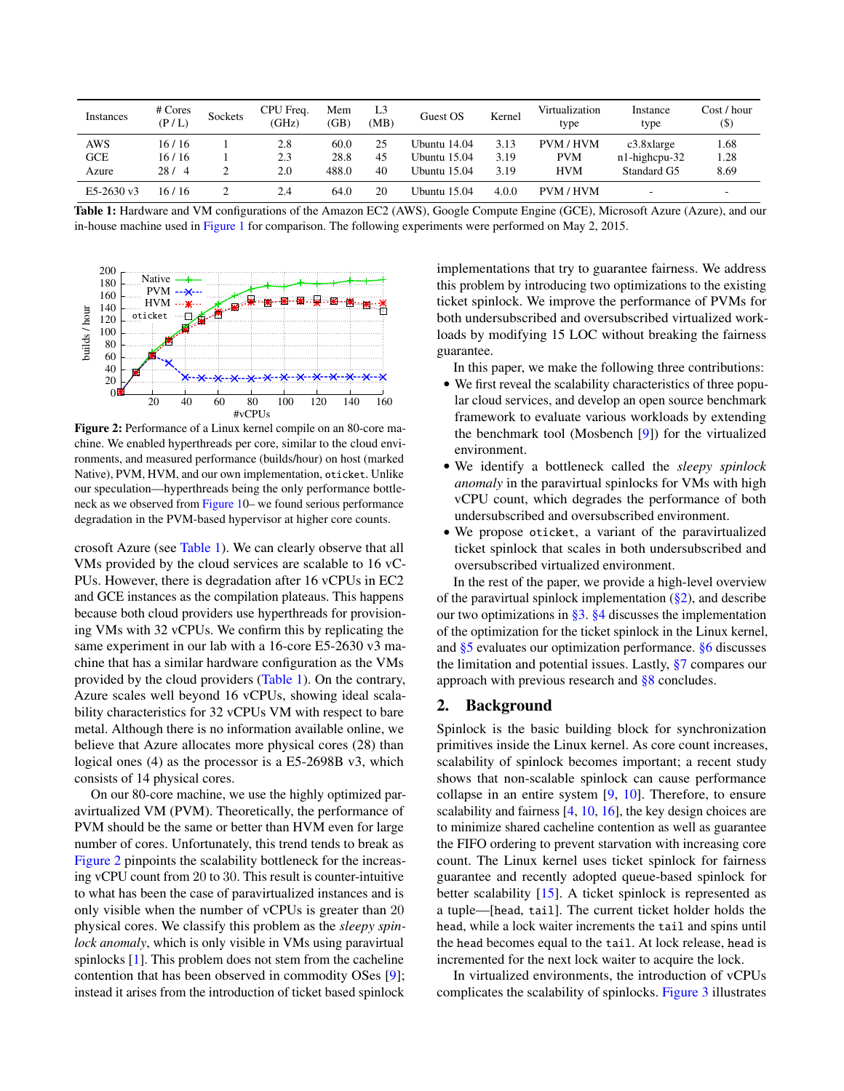<span id="page-1-0"></span>

| Instances  | # Cores<br>(P/L) | Sockets | CPU Freq.<br>(GHz) | Mem<br>(GB) | L <sub>3</sub><br>(MB) | Guest OS     | Kernel | Virtualization<br>type | Instance<br>type | Cost / hour<br>$($ \$) |
|------------|------------------|---------|--------------------|-------------|------------------------|--------------|--------|------------------------|------------------|------------------------|
| <b>AWS</b> | 16/16            |         | 2.8                | 60.0        | 25                     | Ubuntu 14.04 | 3.13   | PVM / HVM              | $c3.8x$ large    | 1.68                   |
| GCE        | 16/16            |         | 2.3                | 28.8        | 45                     | Ubuntu 15.04 | 3.19   | <b>PVM</b>             | n1-highcpu-32    | 1.28                   |
| Azure      | 28/4             |         | 2.0                | 488.0       | 40                     | Ubuntu 15.04 | 3.19   | <b>HVM</b>             | Standard G5      | 8.69                   |
| E5-2630 v3 | 16/16            |         | 2.4                | 64.0        | 20                     | Ubuntu 15.04 | 4.0.0  | <b>PVM/HVM</b>         | -                |                        |

Table 1: Hardware and VM configurations of the Amazon EC2 (AWS), Google Compute Engine (GCE), Microsoft Azure (Azure), and our in-house machine used in [Figure 1](#page-0-1) for comparison. The following experiments were performed on May 2, 2015.

<span id="page-1-1"></span>

Figure 2: Performance of a Linux kernel compile on an 80-core machine. We enabled hyperthreads per core, similar to the cloud environments, and measured performance (builds/hour) on host (marked Native), PVM, HVM, and our own implementation, oticket. Unlike our speculation—hyperthreads being the only performance bottleneck as we observed from [Figure 10](#page-0-1)– we found serious performance degradation in the PVM-based hypervisor at higher core counts.

crosoft Azure (see [Table 1\)](#page-1-0). We can clearly observe that all VMs provided by the cloud services are scalable to 16 vC-PUs. However, there is degradation after 16 vCPUs in EC2 and GCE instances as the compilation plateaus. This happens because both cloud providers use hyperthreads for provisioning VMs with 32 vCPUs. We confirm this by replicating the same experiment in our lab with a 16-core E5-2630 v3 machine that has a similar hardware configuration as the VMs provided by the cloud providers [\(Table 1\)](#page-1-0). On the contrary, Azure scales well beyond 16 vCPUs, showing ideal scalability characteristics for 32 vCPUs VM with respect to bare metal. Although there is no information available online, we believe that Azure allocates more physical cores (28) than logical ones (4) as the processor is a E5-2698B v3, which consists of 14 physical cores.

On our 80-core machine, we use the highly optimized paravirtualized VM (PVM). Theoretically, the performance of PVM should be the same or better than HVM even for large number of cores. Unfortunately, this trend tends to break as [Figure 2](#page-1-1) pinpoints the scalability bottleneck for the increasing vCPU count from 20 to 30. This result is counter-intuitive to what has been the case of paravirtualized instances and is only visible when the number of vCPUs is greater than 20 physical cores. We classify this problem as the *sleepy spinlock anomaly*, which is only visible in VMs using paravirtual spinlocks [\[1\]](#page-6-3). This problem does not stem from the cacheline contention that has been observed in commodity OSes [\[9\]](#page-6-4); instead it arises from the introduction of ticket based spinlock implementations that try to guarantee fairness. We address this problem by introducing two optimizations to the existing ticket spinlock. We improve the performance of PVMs for both undersubscribed and oversubscribed virtualized workloads by modifying 15 LOC without breaking the fairness guarantee.

In this paper, we make the following three contributions:

- We first reveal the scalability characteristics of three popular cloud services, and develop an open source benchmark framework to evaluate various workloads by extending the benchmark tool (Mosbench [\[9\]](#page-6-4)) for the virtualized environment.
- We identify a bottleneck called the *sleepy spinlock anomaly* in the paravirtual spinlocks for VMs with high vCPU count, which degrades the performance of both undersubscribed and oversubscribed environment.
- We propose oticket, a variant of the paravirtualized ticket spinlock that scales in both undersubscribed and oversubscribed virtualized environment.

In the rest of the paper, we provide a high-level overview of the paravirtual spinlock implementation  $(\frac{8}{2})$ , and describe our two optimizations in [§3.](#page-2-0) [§4](#page-3-0) discusses the implementation of the optimization for the ticket spinlock in the Linux kernel, and [§5](#page-3-1) evaluates our optimization performance. [§6](#page-5-0) discusses the limitation and potential issues. Lastly, [§7](#page-5-1) compares our approach with previous research and [§8](#page-5-2) concludes.

# <span id="page-1-2"></span>2. Background

Spinlock is the basic building block for synchronization primitives inside the Linux kernel. As core count increases, scalability of spinlock becomes important; a recent study shows that non-scalable spinlock can cause performance collapse in an entire system [\[9,](#page-6-4) [10\]](#page-6-5). Therefore, to ensure scalability and fairness [\[4,](#page-6-6) [10,](#page-6-5) [16\]](#page-6-7), the key design choices are to minimize shared cacheline contention as well as guarantee the FIFO ordering to prevent starvation with increasing core count. The Linux kernel uses ticket spinlock for fairness guarantee and recently adopted queue-based spinlock for better scalability [\[15\]](#page-6-8). A ticket spinlock is represented as a tuple—[head, tail]. The current ticket holder holds the head, while a lock waiter increments the tail and spins until the head becomes equal to the tail. At lock release, head is incremented for the next lock waiter to acquire the lock.

In virtualized environments, the introduction of vCPUs complicates the scalability of spinlocks. [Figure 3](#page-2-1) illustrates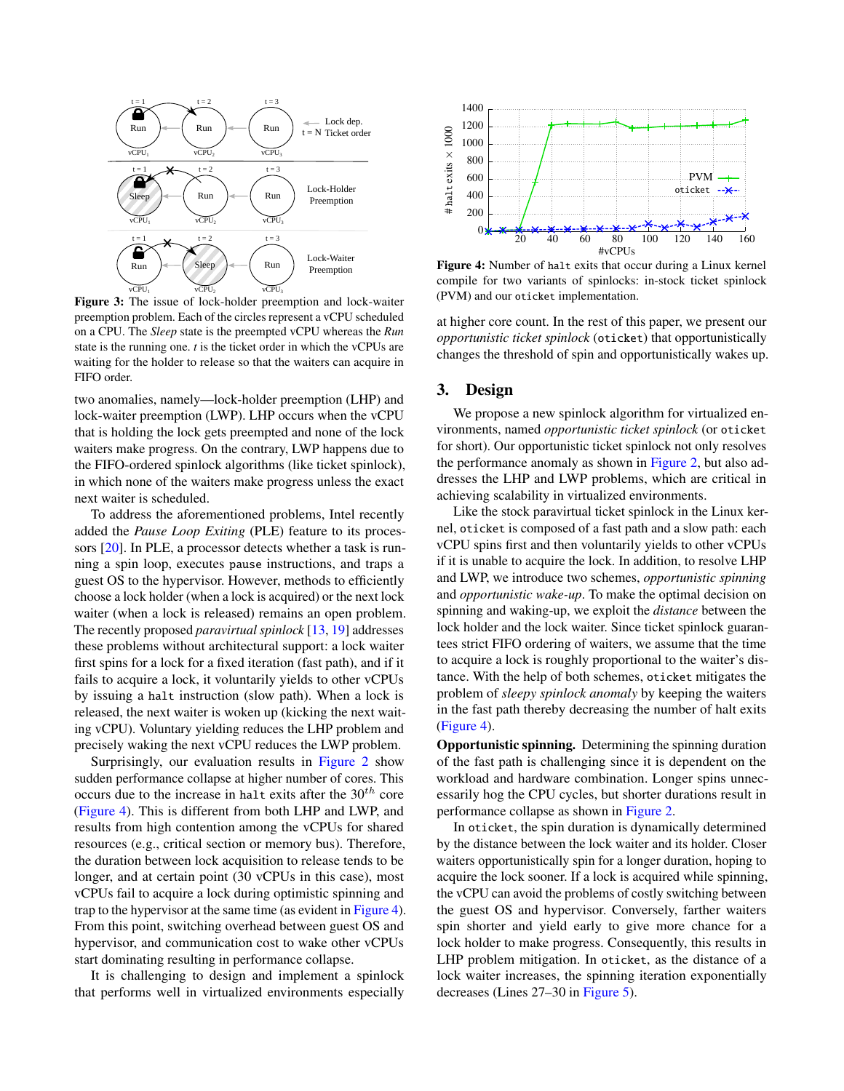<span id="page-2-1"></span>

Figure 3: The issue of lock-holder preemption and lock-waiter preemption problem. Each of the circles represent a vCPU scheduled on a CPU. The *Sleep* state is the preempted vCPU whereas the *Run* state is the running one. *t* is the ticket order in which the vCPUs are waiting for the holder to release so that the waiters can acquire in FIFO order.

two anomalies, namely—lock-holder preemption (LHP) and lock-waiter preemption (LWP). LHP occurs when the vCPU that is holding the lock gets preempted and none of the lock waiters make progress. On the contrary, LWP happens due to the FIFO-ordered spinlock algorithms (like ticket spinlock), in which none of the waiters make progress unless the exact next waiter is scheduled.

To address the aforementioned problems, Intel recently added the *Pause Loop Exiting* (PLE) feature to its processors [\[20\]](#page-6-9). In PLE, a processor detects whether a task is running a spin loop, executes pause instructions, and traps a guest OS to the hypervisor. However, methods to efficiently choose a lock holder (when a lock is acquired) or the next lock waiter (when a lock is released) remains an open problem. The recently proposed *paravirtual spinlock* [\[13,](#page-6-10) [19\]](#page-6-11) addresses these problems without architectural support: a lock waiter first spins for a lock for a fixed iteration (fast path), and if it fails to acquire a lock, it voluntarily yields to other vCPUs by issuing a halt instruction (slow path). When a lock is released, the next waiter is woken up (kicking the next waiting vCPU). Voluntary yielding reduces the LHP problem and precisely waking the next vCPU reduces the LWP problem.

Surprisingly, our evaluation results in [Figure 2](#page-1-1) show sudden performance collapse at higher number of cores. This occurs due to the increase in halt exits after the  $30<sup>th</sup>$  core [\(Figure 4\)](#page-2-2). This is different from both LHP and LWP, and results from high contention among the vCPUs for shared resources (e.g., critical section or memory bus). Therefore, the duration between lock acquisition to release tends to be longer, and at certain point (30 vCPUs in this case), most vCPUs fail to acquire a lock during optimistic spinning and trap to the hypervisor at the same time (as evident in [Figure 4\)](#page-2-2). From this point, switching overhead between guest OS and hypervisor, and communication cost to wake other vCPUs start dominating resulting in performance collapse.

It is challenging to design and implement a spinlock that performs well in virtualized environments especially

<span id="page-2-2"></span>

Figure 4: Number of halt exits that occur during a Linux kernel compile for two variants of spinlocks: in-stock ticket spinlock (PVM) and our oticket implementation.

at higher core count. In the rest of this paper, we present our *opportunistic ticket spinlock* (oticket) that opportunistically changes the threshold of spin and opportunistically wakes up.

# <span id="page-2-0"></span>3. Design

We propose a new spinlock algorithm for virtualized environments, named *opportunistic ticket spinlock* (or oticket for short). Our opportunistic ticket spinlock not only resolves the performance anomaly as shown in [Figure 2,](#page-1-1) but also addresses the LHP and LWP problems, which are critical in achieving scalability in virtualized environments.

Like the stock paravirtual ticket spinlock in the Linux kernel, oticket is composed of a fast path and a slow path: each vCPU spins first and then voluntarily yields to other vCPUs if it is unable to acquire the lock. In addition, to resolve LHP and LWP, we introduce two schemes, *opportunistic spinning* and *opportunistic wake-up*. To make the optimal decision on spinning and waking-up, we exploit the *distance* between the lock holder and the lock waiter. Since ticket spinlock guarantees strict FIFO ordering of waiters, we assume that the time to acquire a lock is roughly proportional to the waiter's distance. With the help of both schemes, oticket mitigates the problem of *sleepy spinlock anomaly* by keeping the waiters in the fast path thereby decreasing the number of halt exits [\(Figure 4\)](#page-2-2).

Opportunistic spinning. Determining the spinning duration of the fast path is challenging since it is dependent on the workload and hardware combination. Longer spins unnecessarily hog the CPU cycles, but shorter durations result in performance collapse as shown in [Figure 2.](#page-1-1)

In oticket, the spin duration is dynamically determined by the distance between the lock waiter and its holder. Closer waiters opportunistically spin for a longer duration, hoping to acquire the lock sooner. If a lock is acquired while spinning, the vCPU can avoid the problems of costly switching between the guest OS and hypervisor. Conversely, farther waiters spin shorter and yield early to give more chance for a lock holder to make progress. Consequently, this results in LHP problem mitigation. In oticket, as the distance of a lock waiter increases, the spinning iteration exponentially decreases (Lines 27–30 in [Figure 5\)](#page-3-2).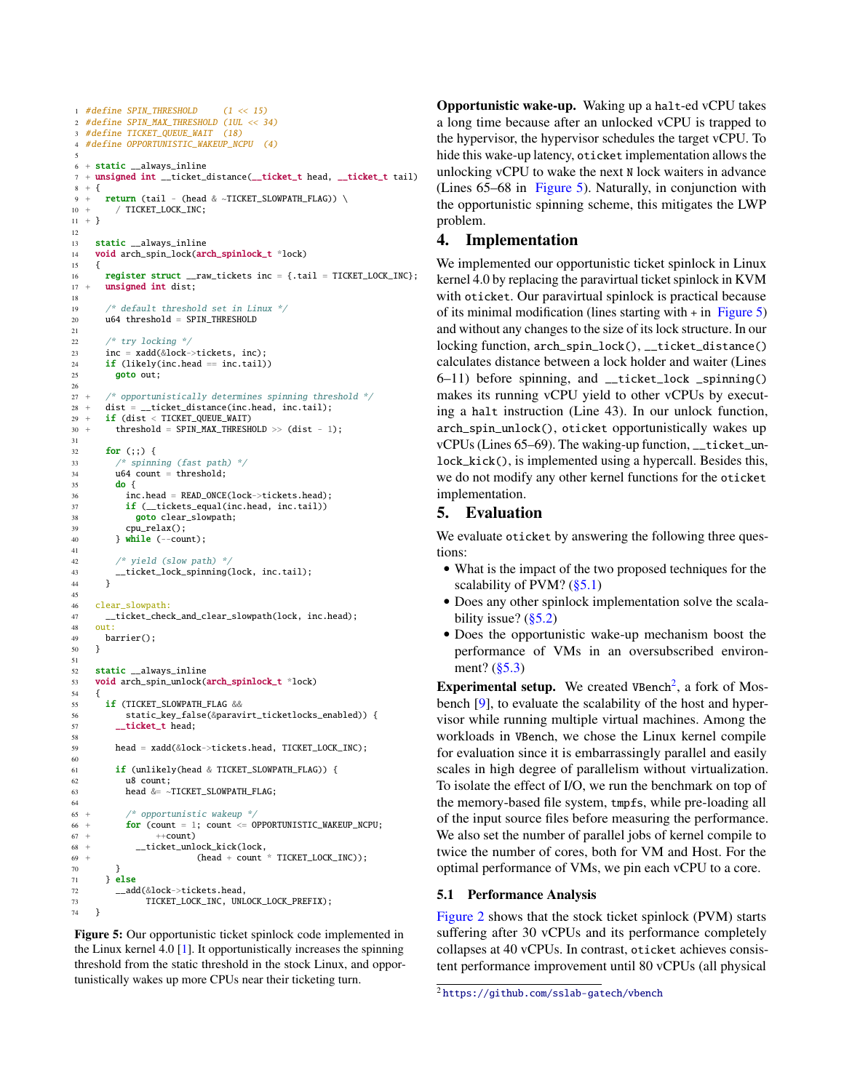```
1 #define SPIN_THRESHOLD (1 << 15)
2 #define SPIN_MAX_THRESHOLD (1UL << 34)
3 #define TICKET OUEUE WAIT (18)
4 #define OPPORTUNISTIC_WAKEUP_NCPU (4)
 5
6 + static __always_inline
7 + unsigned int __ticket_distance(__ticket_t head, __ticket_t tail)
8 + \{9 + return (tail - (head & ~TICKET_SLOWPATH_FLAG)) \
         / TICKET_LOCK_INC;
11 + \}12
13 static __always_inline
14 void arch_spin_lock(arch_spinlock_t *lock)
15 {
16 register struct \text{raw}_\text{t} raw_tickets inc = {.tail = TICKET_LOCK_INC};
17 + unsigned int dist;
18
19 /* default threshold set in Linux */
20 u64 threshold = SPIN_THRESHOLD
21
22 /* try locking */
23 inc = xadd(&lock->tickets, inc);<br>24 if (likely(inc.head == inc.tail)
       if (likely(inc.head == inc.tail))
25 goto out;
26
27 + /* opportunistically determines spinning threshold */<br>
28 + dist = ticket distance(inc.head. inc.tail):
       dist = \text{\_}ticket\_distance(inc.\text{head}, \text{inc.tail});29 + if (dist < TICKET_QUEUE_WAIT)
30 + threshold = SPIN_MAX_THRESHOLD >> (dist - 1);
31
32 for (:.) {
33 /* spinning (fast path) */
34 u64 count = threshold;
35 do {
36 inc.head = READ_ONCE(lock->tickets.head);
37 if ( tickets equal(inc.head, inc.tail))
38 goto clear_slowpath;
39 cpu relax():
40 \qquad \qquad \text{while } (-\text{count}):41
42 /* vield (slow path) */43 __ticket_lock_spinning(lock, inc.tail);
44 }
45
46 clear_slowpath:
47 __ticket_check_and_clear_slowpath(lock, inc.head);
48 out:
49 barrier();
50 }
51
52 static always inline
53 void arch_spin_unlock(arch_spinlock_t *lock)
54 {
55 if (TICKET SLOWPATH FLAG &&
56 static_key_false(&paravirt_ticketlocks_enabled)) {
57 __ ticket_t head;
58
59 head = xadd(&lock->tickets.head, TICKET_LOCK_INC);
60
         if (unlikely(head & TICKET SLOWPATH FLAG)) {
62 u8 count;
63 head &= ~TICKET_SLOWPATH_FLAG;
64
65 + /* opportunistic wakeup */
66 + for (count = 1; count <= OPPORTUNISTIC_WAKEUP_NCPU;
67 + +count)
68 + __ticket_unlock_kick(lock,
\frac{1}{69} + \frac{1}{69} + \frac{1}{69} + \frac{1}{69} + \frac{1}{69} + \frac{1}{69} + \frac{1}{69} + \frac{1}{69} + \frac{1}{69} + \frac{1}{69} + \frac{1}{69} + \frac{1}{69} + \frac{1}{69} + \frac{1}{69} + \frac{1}{69} + \frac{1}{69} + \frac{1}{69} + 
70 }
71 } else
72 ___add(&lock->tickets.head,
73 TICKET_LOCK_INC, UNLOCK_LOCK_PREFIX);<br>74 }
74 }
```
Figure 5: Our opportunistic ticket spinlock code implemented in the Linux kernel 4.0 [\[1\]](#page-6-3). It opportunistically increases the spinning threshold from the static threshold in the stock Linux, and opportunistically wakes up more CPUs near their ticketing turn.

Opportunistic wake-up. Waking up a halt-ed vCPU takes a long time because after an unlocked vCPU is trapped to the hypervisor, the hypervisor schedules the target vCPU. To hide this wake-up latency, oticket implementation allows the unlocking vCPU to wake the next N lock waiters in advance (Lines 65–68 in [Figure 5\)](#page-3-2). Naturally, in conjunction with the opportunistic spinning scheme, this mitigates the LWP problem.

# <span id="page-3-0"></span>4. Implementation

We implemented our opportunistic ticket spinlock in Linux kernel 4.0 by replacing the paravirtual ticket spinlock in KVM with oticket. Our paravirtual spinlock is practical because of its minimal modification (lines starting with  $+$  in [Figure 5\)](#page-3-2) and without any changes to the size of its lock structure. In our locking function, arch\_spin\_lock(), \_\_ticket\_distance() calculates distance between a lock holder and waiter (Lines 6–11) before spinning, and \_\_ticket\_lock \_spinning() makes its running vCPU yield to other vCPUs by executing a halt instruction (Line 43). In our unlock function, arch\_spin\_unlock(), oticket opportunistically wakes up vCPUs (Lines 65–69). The waking-up function, \_\_ticket\_unlock\_kick(), is implemented using a hypercall. Besides this, we do not modify any other kernel functions for the oticket implementation.

# <span id="page-3-1"></span>5. Evaluation

We evaluate oticket by answering the following three questions:

- What is the impact of the two proposed techniques for the scalability of PVM?  $(\S 5.1)$
- Does any other spinlock implementation solve the scalability issue?  $(\S 5.2)$
- Does the opportunistic wake-up mechanism boost the performance of VMs in an oversubscribed environ-ment? [\(§5.3\)](#page-4-1)

**Experimental setup.** We created VBench<sup>[2](#page-3-4)</sup>, a fork of Mosbench [\[9\]](#page-6-4), to evaluate the scalability of the host and hypervisor while running multiple virtual machines. Among the workloads in VBench, we chose the Linux kernel compile for evaluation since it is embarrassingly parallel and easily scales in high degree of parallelism without virtualization. To isolate the effect of I/O, we run the benchmark on top of the memory-based file system, tmpfs, while pre-loading all of the input source files before measuring the performance. We also set the number of parallel jobs of kernel compile to twice the number of cores, both for VM and Host. For the optimal performance of VMs, we pin each vCPU to a core.

## <span id="page-3-3"></span>5.1 Performance Analysis

[Figure 2](#page-1-1) shows that the stock ticket spinlock (PVM) starts suffering after 30 vCPUs and its performance completely collapses at 40 vCPUs. In contrast, oticket achieves consistent performance improvement until 80 vCPUs (all physical

<span id="page-3-4"></span><sup>2</sup> <https://github.com/sslab-gatech/vbench>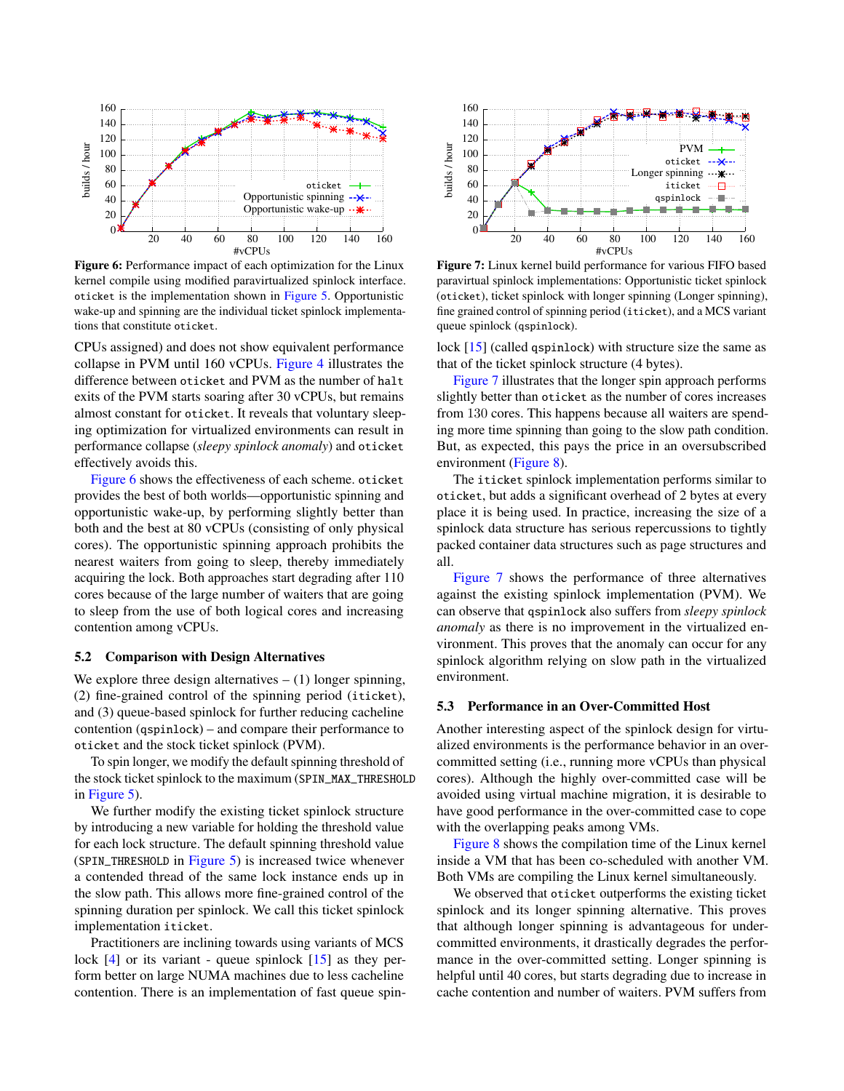<span id="page-4-2"></span>

Figure 6: Performance impact of each optimization for the Linux kernel compile using modified paravirtualized spinlock interface. oticket is the implementation shown in [Figure 5.](#page-3-2) Opportunistic wake-up and spinning are the individual ticket spinlock implementations that constitute oticket.

CPUs assigned) and does not show equivalent performance collapse in PVM until 160 vCPUs. [Figure 4](#page-2-2) illustrates the difference between oticket and PVM as the number of halt exits of the PVM starts soaring after 30 vCPUs, but remains almost constant for oticket. It reveals that voluntary sleeping optimization for virtualized environments can result in performance collapse (*sleepy spinlock anomaly*) and oticket effectively avoids this.

[Figure 6](#page-4-2) shows the effectiveness of each scheme. oticket provides the best of both worlds—opportunistic spinning and opportunistic wake-up, by performing slightly better than both and the best at 80 vCPUs (consisting of only physical cores). The opportunistic spinning approach prohibits the nearest waiters from going to sleep, thereby immediately acquiring the lock. Both approaches start degrading after 110 cores because of the large number of waiters that are going to sleep from the use of both logical cores and increasing contention among vCPUs.

#### <span id="page-4-0"></span>5.2 Comparison with Design Alternatives

We explore three design alternatives  $- (1)$  longer spinning, (2) fine-grained control of the spinning period (iticket), and (3) queue-based spinlock for further reducing cacheline contention (qspinlock) – and compare their performance to oticket and the stock ticket spinlock (PVM).

To spin longer, we modify the default spinning threshold of the stock ticket spinlock to the maximum (SPIN\_MAX\_THRESHOLD in [Figure 5\)](#page-3-2).

We further modify the existing ticket spinlock structure by introducing a new variable for holding the threshold value for each lock structure. The default spinning threshold value (SPIN\_THRESHOLD in [Figure 5\)](#page-3-2) is increased twice whenever a contended thread of the same lock instance ends up in the slow path. This allows more fine-grained control of the spinning duration per spinlock. We call this ticket spinlock implementation iticket.

Practitioners are inclining towards using variants of MCS lock  $[4]$  or its variant - queue spinlock  $[15]$  as they perform better on large NUMA machines due to less cacheline contention. There is an implementation of fast queue spin-

<span id="page-4-3"></span>

Figure 7: Linux kernel build performance for various FIFO based paravirtual spinlock implementations: Opportunistic ticket spinlock (oticket), ticket spinlock with longer spinning (Longer spinning), fine grained control of spinning period (iticket), and a MCS variant queue spinlock (qspinlock).

lock [\[15\]](#page-6-8) (called qspinlock) with structure size the same as that of the ticket spinlock structure (4 bytes).

[Figure 7](#page-4-3) illustrates that the longer spin approach performs slightly better than oticket as the number of cores increases from 130 cores. This happens because all waiters are spending more time spinning than going to the slow path condition. But, as expected, this pays the price in an oversubscribed environment [\(Figure 8\)](#page-5-3).

The iticket spinlock implementation performs similar to oticket, but adds a significant overhead of 2 bytes at every place it is being used. In practice, increasing the size of a spinlock data structure has serious repercussions to tightly packed container data structures such as page structures and all.

[Figure 7](#page-4-3) shows the performance of three alternatives against the existing spinlock implementation (PVM). We can observe that qspinlock also suffers from *sleepy spinlock anomaly* as there is no improvement in the virtualized environment. This proves that the anomaly can occur for any spinlock algorithm relying on slow path in the virtualized environment.

## <span id="page-4-1"></span>5.3 Performance in an Over-Committed Host

Another interesting aspect of the spinlock design for virtualized environments is the performance behavior in an overcommitted setting (i.e., running more vCPUs than physical cores). Although the highly over-committed case will be avoided using virtual machine migration, it is desirable to have good performance in the over-committed case to cope with the overlapping peaks among VMs.

[Figure 8](#page-5-3) shows the compilation time of the Linux kernel inside a VM that has been co-scheduled with another VM. Both VMs are compiling the Linux kernel simultaneously.

We observed that oticket outperforms the existing ticket spinlock and its longer spinning alternative. This proves that although longer spinning is advantageous for undercommitted environments, it drastically degrades the performance in the over-committed setting. Longer spinning is helpful until 40 cores, but starts degrading due to increase in cache contention and number of waiters. PVM suffers from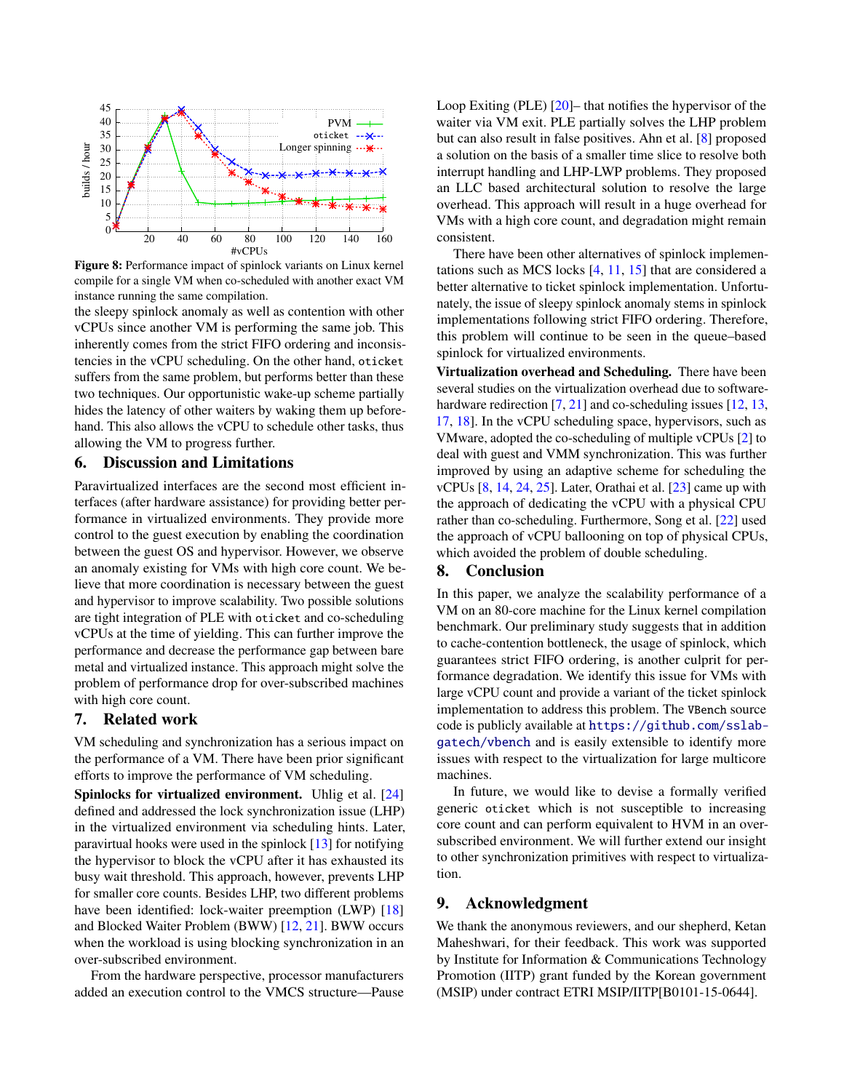<span id="page-5-3"></span>

Figure 8: Performance impact of spinlock variants on Linux kernel compile for a single VM when co-scheduled with another exact VM instance running the same compilation.

the sleepy spinlock anomaly as well as contention with other vCPUs since another VM is performing the same job. This inherently comes from the strict FIFO ordering and inconsistencies in the vCPU scheduling. On the other hand, oticket suffers from the same problem, but performs better than these two techniques. Our opportunistic wake-up scheme partially hides the latency of other waiters by waking them up beforehand. This also allows the vCPU to schedule other tasks, thus allowing the VM to progress further.

# <span id="page-5-0"></span>6. Discussion and Limitations

Paravirtualized interfaces are the second most efficient interfaces (after hardware assistance) for providing better performance in virtualized environments. They provide more control to the guest execution by enabling the coordination between the guest OS and hypervisor. However, we observe an anomaly existing for VMs with high core count. We believe that more coordination is necessary between the guest and hypervisor to improve scalability. Two possible solutions are tight integration of PLE with oticket and co-scheduling vCPUs at the time of yielding. This can further improve the performance and decrease the performance gap between bare metal and virtualized instance. This approach might solve the problem of performance drop for over-subscribed machines with high core count.

## <span id="page-5-1"></span>7. Related work

VM scheduling and synchronization has a serious impact on the performance of a VM. There have been prior significant efforts to improve the performance of VM scheduling.

Spinlocks for virtualized environment. Uhlig et al. [\[24\]](#page-6-12) defined and addressed the lock synchronization issue (LHP) in the virtualized environment via scheduling hints. Later, paravirtual hooks were used in the spinlock [\[13\]](#page-6-10) for notifying the hypervisor to block the vCPU after it has exhausted its busy wait threshold. This approach, however, prevents LHP for smaller core counts. Besides LHP, two different problems have been identified: lock-waiter preemption (LWP) [\[18\]](#page-6-13) and Blocked Waiter Problem (BWW) [\[12,](#page-6-14) [21\]](#page-6-15). BWW occurs when the workload is using blocking synchronization in an over-subscribed environment.

From the hardware perspective, processor manufacturers added an execution control to the VMCS structure—Pause

Loop Exiting (PLE) [\[20\]](#page-6-9)– that notifies the hypervisor of the waiter via VM exit. PLE partially solves the LHP problem but can also result in false positives. Ahn et al. [\[8\]](#page-6-16) proposed a solution on the basis of a smaller time slice to resolve both interrupt handling and LHP-LWP problems. They proposed an LLC based architectural solution to resolve the large overhead. This approach will result in a huge overhead for VMs with a high core count, and degradation might remain consistent.

There have been other alternatives of spinlock implementations such as MCS locks [\[4,](#page-6-6) [11,](#page-6-17) [15\]](#page-6-8) that are considered a better alternative to ticket spinlock implementation. Unfortunately, the issue of sleepy spinlock anomaly stems in spinlock implementations following strict FIFO ordering. Therefore, this problem will continue to be seen in the queue–based spinlock for virtualized environments.

Virtualization overhead and Scheduling. There have been several studies on the virtualization overhead due to software-hardware redirection [\[7,](#page-6-18) [21\]](#page-6-15) and co-scheduling issues [\[12,](#page-6-14) [13,](#page-6-10) [17,](#page-6-19) [18\]](#page-6-13). In the vCPU scheduling space, hypervisors, such as VMware, adopted the co-scheduling of multiple vCPUs [\[2\]](#page-6-20) to deal with guest and VMM synchronization. This was further improved by using an adaptive scheme for scheduling the vCPUs [\[8,](#page-6-16) [14,](#page-6-21) [24,](#page-6-12) [25\]](#page-6-22). Later, Orathai et al. [\[23\]](#page-6-23) came up with the approach of dedicating the vCPU with a physical CPU rather than co-scheduling. Furthermore, Song et al. [\[22\]](#page-6-24) used the approach of vCPU ballooning on top of physical CPUs, which avoided the problem of double scheduling.

## <span id="page-5-2"></span>8. Conclusion

In this paper, we analyze the scalability performance of a VM on an 80-core machine for the Linux kernel compilation benchmark. Our preliminary study suggests that in addition to cache-contention bottleneck, the usage of spinlock, which guarantees strict FIFO ordering, is another culprit for performance degradation. We identify this issue for VMs with large vCPU count and provide a variant of the ticket spinlock implementation to address this problem. The VBench source code is publicly available at [https://github.com/sslab](https://github.com/sslab-gatech/vbench)[gatech/vbench](https://github.com/sslab-gatech/vbench) and is easily extensible to identify more issues with respect to the virtualization for large multicore machines.

In future, we would like to devise a formally verified generic oticket which is not susceptible to increasing core count and can perform equivalent to HVM in an oversubscribed environment. We will further extend our insight to other synchronization primitives with respect to virtualization.

## 9. Acknowledgment

We thank the anonymous reviewers, and our shepherd, Ketan Maheshwari, for their feedback. This work was supported by Institute for Information & Communications Technology Promotion (IITP) grant funded by the Korean government (MSIP) under contract ETRI MSIP/IITP[B0101-15-0644].